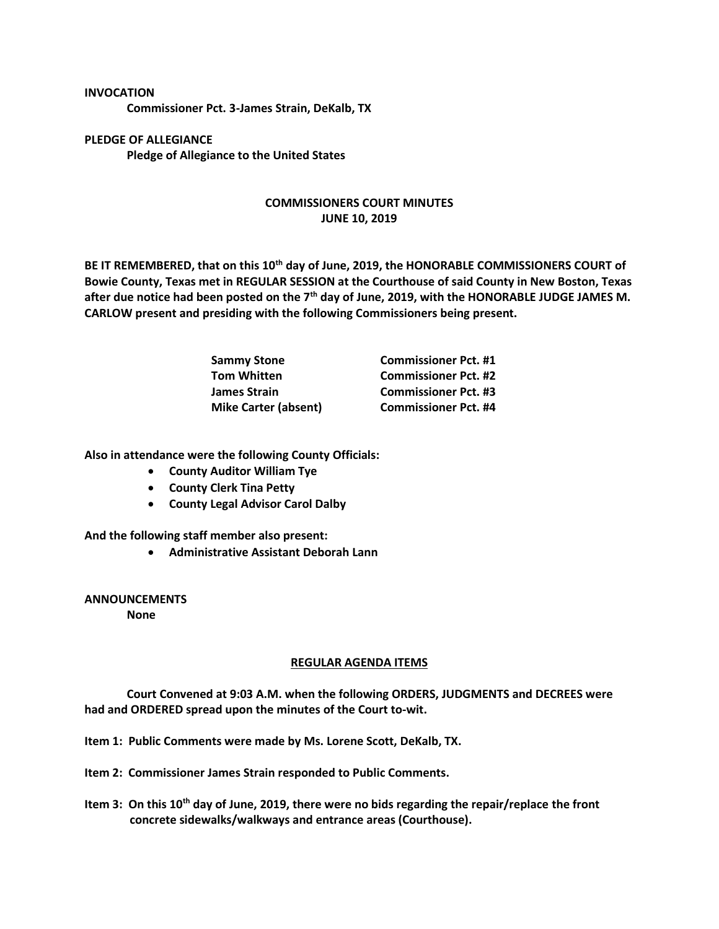## **INVOCATION**

**Commissioner Pct. 3-James Strain, DeKalb, TX**

**PLEDGE OF ALLEGIANCE Pledge of Allegiance to the United States**

## **COMMISSIONERS COURT MINUTES JUNE 10, 2019**

**BE IT REMEMBERED, that on this 10th day of June, 2019, the HONORABLE COMMISSIONERS COURT of Bowie County, Texas met in REGULAR SESSION at the Courthouse of said County in New Boston, Texas after due notice had been posted on the 7th day of June, 2019, with the HONORABLE JUDGE JAMES M. CARLOW present and presiding with the following Commissioners being present.**

| <b>Sammy Stone</b>          | <b>Commissioner Pct. #1</b> |
|-----------------------------|-----------------------------|
| <b>Tom Whitten</b>          | <b>Commissioner Pct. #2</b> |
| James Strain                | <b>Commissioner Pct. #3</b> |
| <b>Mike Carter (absent)</b> | <b>Commissioner Pct. #4</b> |

**Also in attendance were the following County Officials:**

- **County Auditor William Tye**
- **County Clerk Tina Petty**
- **County Legal Advisor Carol Dalby**

**And the following staff member also present:**

• **Administrative Assistant Deborah Lann**

**ANNOUNCEMENTS**

**None**

## **REGULAR AGENDA ITEMS**

**Court Convened at 9:03 A.M. when the following ORDERS, JUDGMENTS and DECREES were had and ORDERED spread upon the minutes of the Court to-wit.**

**Item 1: Public Comments were made by Ms. Lorene Scott, DeKalb, TX.**

- **Item 2: Commissioner James Strain responded to Public Comments.**
- **Item 3: On this 10th day of June, 2019, there were no bids regarding the repair/replace the front concrete sidewalks/walkways and entrance areas (Courthouse).**